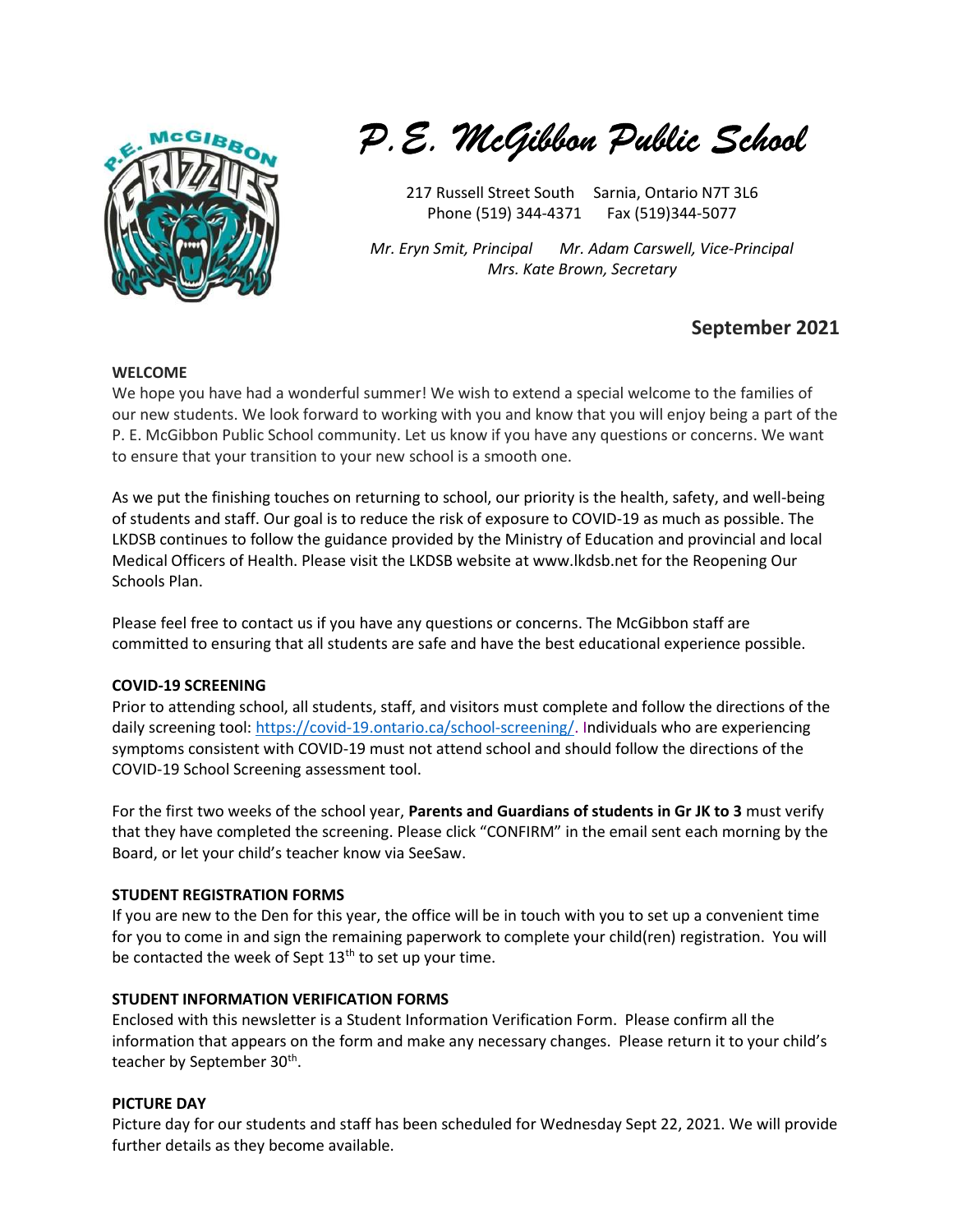

P.E. McGibbon Public School

217 Russell Street South Sarnia, Ontario N7T 3L6 Phone (519) 344-4371 Fax (519) 344-5077

Mr. Eryn Smit, Principal Mr. Adam Carswell, Vice-Principal Mrs. Kate Brown, Secretary

# September 2021

#### WELCOME

We hope you have had a wonderful summer! We wish to extend a special welcome to the families of our new students. We look forward to working with you and know that you will enjoy being a part of the P. E. McGibbon Public School community. Let us know if you have any questions or concerns. We want to ensure that your transition to your new school is a smooth one.

As we put the finishing touches on returning to school, our priority is the health, safety, and well-being of students and staff. Our goal is to reduce the risk of exposure to COVID-19 as much as possible. The LKDSB continues to follow the guidance provided by the Ministry of Education and provincial and local Medical Officers of Health. Please visit the LKDSB website at www.lkdsb.net for the Reopening Our Schools Plan.

Please feel free to contact us if you have any questions or concerns. The McGibbon staff are committed to ensuring that all students are safe and have the best educational experience possible.

#### COVID-19 SCREENING

Prior to attending school, all students, staff, and visitors must complete and follow the directions of the daily screening tool: https://covid-19.ontario.ca/school-screening/. Individuals who are experiencing symptoms consistent with COVID-19 must not attend school and should follow the directions of the COVID-19 School Screening assessment tool.

For the first two weeks of the school year, Parents and Guardians of students in Gr JK to 3 must verify that they have completed the screening. Please click "CONFIRM" in the email sent each morning by the Board, or let your child's teacher know via SeeSaw.

## STUDENT REGISTRATION FORMS

If you are new to the Den for this year, the office will be in touch with you to set up a convenient time for you to come in and sign the remaining paperwork to complete your child(ren) registration. You will be contacted the week of Sept  $13<sup>th</sup>$  to set up your time.

## STUDENT INFORMATION VERIFICATION FORMS

Enclosed with this newsletter is a Student Information Verification Form. Please confirm all the information that appears on the form and make any necessary changes. Please return it to your child's teacher by September 30<sup>th</sup>.

## PICTURE DAY

Picture day for our students and staff has been scheduled for Wednesday Sept 22, 2021. We will provide further details as they become available.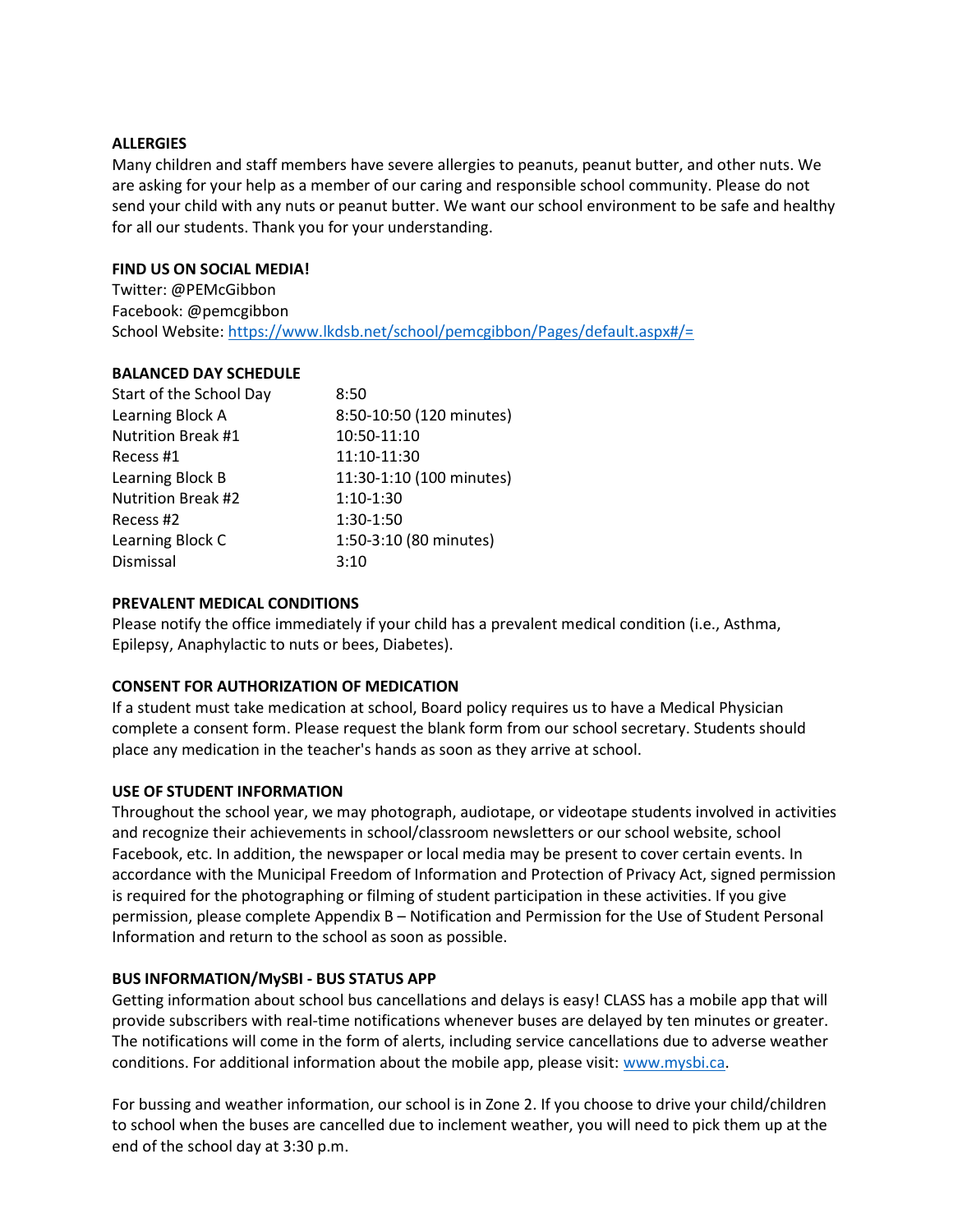#### **ALLERGIES**

Many children and staff members have severe allergies to peanuts, peanut butter, and other nuts. We are asking for your help as a member of our caring and responsible school community. Please do not send your child with any nuts or peanut butter. We want our school environment to be safe and healthy for all our students. Thank you for your understanding.

#### FIND US ON SOCIAL MEDIA!

Twitter: @PEMcGibbon Facebook: @pemcgibbon School Website: https://www.lkdsb.net/school/pemcgibbon/Pages/default.aspx#/=

#### BALANCED DAY SCHEDULE

| Start of the School Day | 8:50                     |
|-------------------------|--------------------------|
| Learning Block A        | 8:50-10:50 (120 minutes) |
| Nutrition Break #1      | 10:50-11:10              |
| Recess #1               | 11:10-11:30              |
| Learning Block B        | 11:30-1:10 (100 minutes) |
| Nutrition Break #2      | $1:10-1:30$              |
| Recess #2               | 1:30-1:50                |
| Learning Block C        | 1:50-3:10 (80 minutes)   |
| Dismissal               | 3:10                     |
|                         |                          |

## PREVALENT MEDICAL CONDITIONS

Please notify the office immediately if your child has a prevalent medical condition (i.e., Asthma, Epilepsy, Anaphylactic to nuts or bees, Diabetes).

## CONSENT FOR AUTHORIZATION OF MEDICATION

If a student must take medication at school, Board policy requires us to have a Medical Physician complete a consent form. Please request the blank form from our school secretary. Students should place any medication in the teacher's hands as soon as they arrive at school.

## USE OF STUDENT INFORMATION

Throughout the school year, we may photograph, audiotape, or videotape students involved in activities and recognize their achievements in school/classroom newsletters or our school website, school Facebook, etc. In addition, the newspaper or local media may be present to cover certain events. In accordance with the Municipal Freedom of Information and Protection of Privacy Act, signed permission is required for the photographing or filming of student participation in these activities. If you give permission, please complete Appendix B – Notification and Permission for the Use of Student Personal Information and return to the school as soon as possible.

## BUS INFORMATION/MySBI - BUS STATUS APP

Getting information about school bus cancellations and delays is easy! CLASS has a mobile app that will provide subscribers with real-time notifications whenever buses are delayed by ten minutes or greater. The notifications will come in the form of alerts, including service cancellations due to adverse weather conditions. For additional information about the mobile app, please visit: www.mysbi.ca.

For bussing and weather information, our school is in Zone 2. If you choose to drive your child/children to school when the buses are cancelled due to inclement weather, you will need to pick them up at the end of the school day at 3:30 p.m.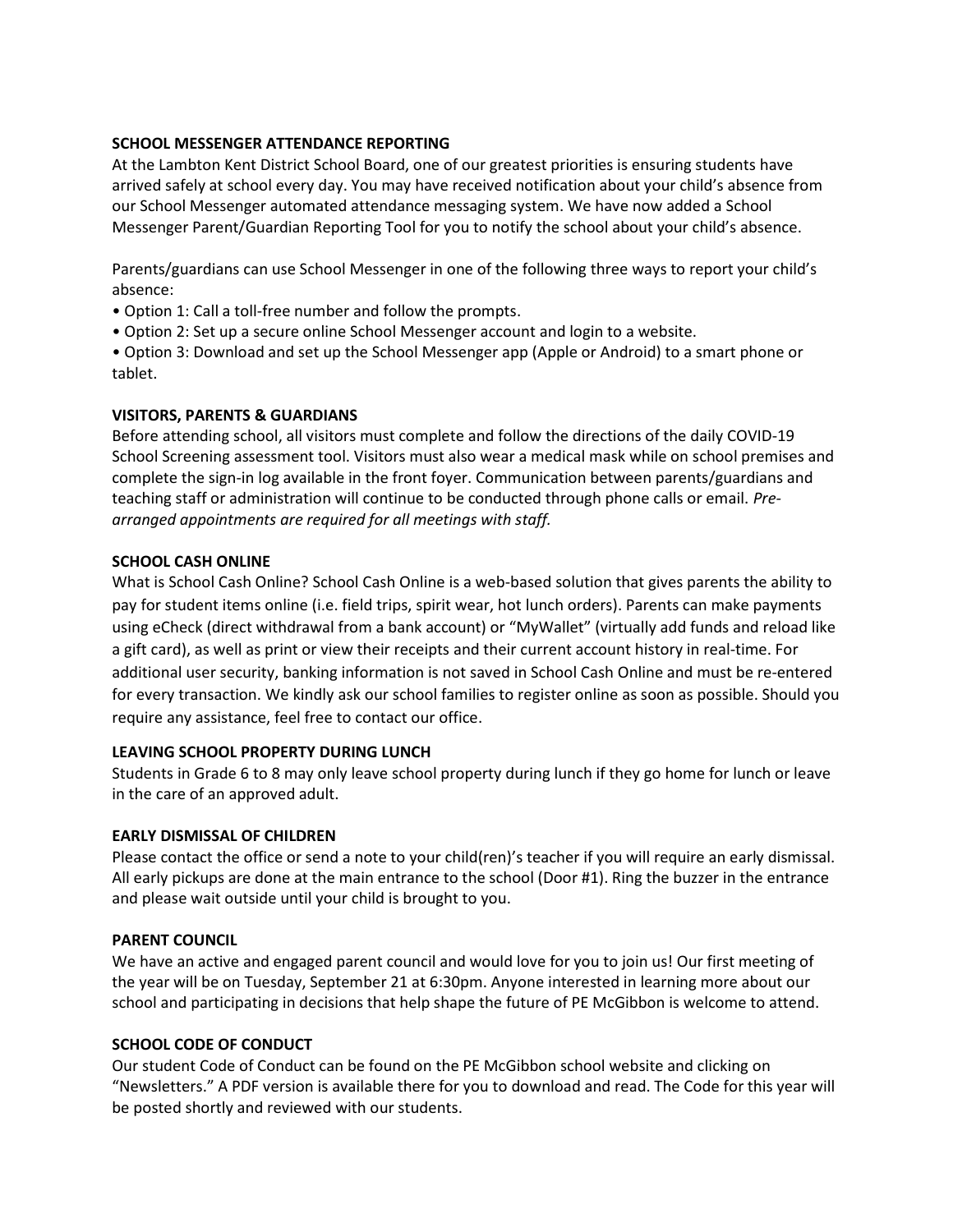## SCHOOL MESSENGER ATTENDANCE REPORTING

At the Lambton Kent District School Board, one of our greatest priorities is ensuring students have arrived safely at school every day. You may have received notification about your child's absence from our School Messenger automated attendance messaging system. We have now added a School Messenger Parent/Guardian Reporting Tool for you to notify the school about your child's absence.

Parents/guardians can use School Messenger in one of the following three ways to report your child's absence:

- Option 1: Call a toll-free number and follow the prompts.
- Option 2: Set up a secure online School Messenger account and login to a website.

• Option 3: Download and set up the School Messenger app (Apple or Android) to a smart phone or tablet.

## VISITORS, PARENTS & GUARDIANS

Before attending school, all visitors must complete and follow the directions of the daily COVID-19 School Screening assessment tool. Visitors must also wear a medical mask while on school premises and complete the sign-in log available in the front foyer. Communication between parents/guardians and teaching staff or administration will continue to be conducted through phone calls or email. Prearranged appointments are required for all meetings with staff.

## SCHOOL CASH ONLINE

What is School Cash Online? School Cash Online is a web-based solution that gives parents the ability to pay for student items online (i.e. field trips, spirit wear, hot lunch orders). Parents can make payments using eCheck (direct withdrawal from a bank account) or "MyWallet" (virtually add funds and reload like a gift card), as well as print or view their receipts and their current account history in real-time. For additional user security, banking information is not saved in School Cash Online and must be re-entered for every transaction. We kindly ask our school families to register online as soon as possible. Should you require any assistance, feel free to contact our office.

## LEAVING SCHOOL PROPERTY DURING LUNCH

Students in Grade 6 to 8 may only leave school property during lunch if they go home for lunch or leave in the care of an approved adult.

## EARLY DISMISSAL OF CHILDREN

Please contact the office or send a note to your child(ren)'s teacher if you will require an early dismissal. All early pickups are done at the main entrance to the school (Door #1). Ring the buzzer in the entrance and please wait outside until your child is brought to you.

## PARENT COUNCIL

We have an active and engaged parent council and would love for you to join us! Our first meeting of the year will be on Tuesday, September 21 at 6:30pm. Anyone interested in learning more about our school and participating in decisions that help shape the future of PE McGibbon is welcome to attend.

## SCHOOL CODE OF CONDUCT

Our student Code of Conduct can be found on the PE McGibbon school website and clicking on "Newsletters." A PDF version is available there for you to download and read. The Code for this year will be posted shortly and reviewed with our students.